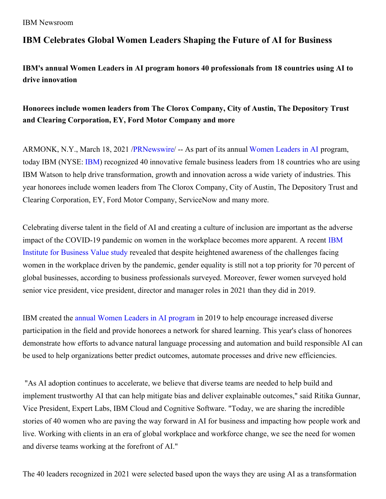IBM Newsroom

## **IBM Celebrates Global Women Leaders Shaping the Future of AI for Business**

**IBM's annual Women Leaders in AI program honors 40 professionals from 18 countries using AI to drive innovation**

# **Honorees include women leaders from The Clorox Company, City of Austin, The Depository Trust and Clearing Corporation, EY, Ford Motor Company and more**

ARMONK, N.Y., March 18, 2021 [/PRNewswire](http://www.prnewswire.com/)/ -- As part of its annual [Women](https://c212.net/c/link/?t=0&l=en&o=3101129-1&h=55919261&u=https%3A%2F%2Fwww.ibm.com%2Fwatson%2Fwomen-leaders-in-ai&a=Women+Leaders+in+AI) Leaders in AI program, today IBM (NYSE: [IBM](https://c212.net/c/link/?t=0&l=en&o=3101129-1&h=3195531359&u=http%3A%2F%2Fwww.ibm.com%2Finvestor&a=IBM)) recognized 40 innovative female business leaders from 18 countries who are using IBM Watson to help drive transformation, growth and innovation across a wide variety of industries. This year honorees include women leaders from The Clorox Company, City of Austin, The Depository Trust and Clearing Corporation, EY, Ford Motor Company, ServiceNow and many more.

Celebrating diverse talent in the field of AI and creating a culture of inclusion are important as the adverse impact of the [COVID-19](https://c212.net/c/link/?t=0&l=en&o=3101129-1&h=2311244928&u=https%3A%2F%2Fwww.ibm.com%2Fthought-leadership%2Finstitute-business-value%2Freport%2Fwomen-leadership-2021%3Flnk%3Dushpv18f4&a=IBM+Institute+for+Business+Value+study) pandemic on women in the workplace becomes more apparent. A recent IBM Institute for Business Value study revealed that despite heightened awareness of the challenges facing women in the workplace driven by the pandemic, gender equality is still not a top priority for 70 percent of global businesses, according to business professionals surveyed. Moreover, fewer women surveyed hold senior vice president, vice president, director and manager roles in 2021 than they did in 2019.

IBM created the annual Women Leaders in AI [program](https://c212.net/c/link/?t=0&l=en&o=3101129-1&h=3703298711&u=https%3A%2F%2Fwww.ibm.com%2Fblogs%2Fwatson%2F2021%2F03%2Fwomen-leaders-in-ai-2021%2F&a=annual+Women+Leaders+in+AI+program) in 2019 to help encourage increased diverse participation in the field and provide honorees a network for shared learning. This year's class of honorees demonstrate how efforts to advance natural language processing and automation and build responsible AI can be used to help organizations better predict outcomes, automate processes and drive new efficiencies.

"As AI adoption continues to accelerate, we believe that diverse teams are needed to help build and implement trustworthy AI that can help mitigate bias and deliver explainable outcomes," said Ritika Gunnar, Vice President, Expert Labs, IBM Cloud and Cognitive Software. "Today, we are sharing the incredible stories of 40 women who are paving the way forward in AI for business and impacting how people work and live. Working with clients in an era of global workplace and workforce change, we see the need for women and diverse teams working at the forefront of AI."

The 40 leaders recognized in 2021 were selected based upon the ways they are using AI as a transformation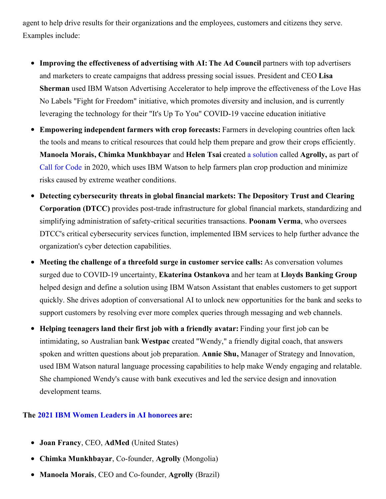agent to help drive results for their organizations and the employees, customers and citizens they serve. Examples include:

- **Improving the effectiveness of advertising with AI:The Ad Council** partners with top advertisers and marketers to create campaigns that address pressing social issues. President and CEO **Lisa Sherman** used IBM Watson Advertising Accelerator to help improve the effectiveness of the Love Has No Labels "Fight for Freedom" initiative, which promotes diversity and inclusion, and is currently leveraging the technology for their "It's Up To You" COVID-19 vaccine education initiative
- **Empowering independent farmers with crop forecasts:** Farmers in developing countries often lack the tools and means to critical resources that could help them prepare and grow their crops efficiently. **Manoela Morais, Chimka Munkhbayar** and **Helen Tsai** created a [solution](https://c212.net/c/link/?t=0&l=en&o=3101129-1&h=393302048&u=https%3A%2F%2Fdeveloper.ibm.com%2Fblogs%2Fcall-for-code-winner-agrolly-expands-to-new-countries&a=a+solution) called **Agrolly,** as part of Call for [Code](https://c212.net/c/link/?t=0&l=en&o=3101129-1&h=3761953843&u=https%3A%2F%2Fdeveloper.ibm.com%2Fcallforcode%2F&a=Call+for+Code) in 2020, which uses IBM Watson to help farmers plan crop production and minimize risks caused by extreme weather conditions.
- **Detecting cybersecurity threats in global financial markets: The Depository Trust and Clearing Corporation (DTCC)** provides post-trade infrastructure for global financial markets, standardizing and simplifying administration of safety-critical securities transactions. **Poonam Verma**, who oversees DTCC's critical cybersecurity services function, implemented IBM services to help further advance the organization's cyber detection capabilities.
- **Meeting the challenge of a threefold surge in customer service calls:** As conversation volumes surged due to COVID-19 uncertainty, **Ekaterina Ostankova** and her team at **Lloyds Banking Group** helped design and define a solution using IBM Watson Assistant that enables customers to get support quickly. She drives adoption of conversational AI to unlock new opportunities for the bank and seeks to support customers by resolving ever more complex queries through messaging and web channels.
- **Helping teenagers land their first job with a friendly avatar:** Finding your first job can be intimidating, so Australian bank **Westpac** created "Wendy," a friendly digital coach, that answers spoken and written questions about job preparation. **Annie Shu,** Manager of Strategy and Innovation, used IBM Watson natural language processing capabilities to help make Wendy engaging and relatable. She championed Wendy's cause with bank executives and led the service design and innovation development teams.

#### **The 2021 IBM Women Leaders in AI [honorees](https://c212.net/c/link/?t=0&l=en&o=3101129-1&h=2228260138&u=https%3A%2F%2Fwww.ibm.com%2Fwatson%2Fwomen-leaders-in-ai%2F2021-list&a=2021+IBM+Women+Leaders+in+AI+honorees) are:**

- **Joan Francy**, CEO, **AdMed** (United States)
- **Chimka Munkhbayar**, Co-founder, **Agrolly** (Mongolia)
- **Manoela Morais**, CEO and Co-founder, **Agrolly** (Brazil)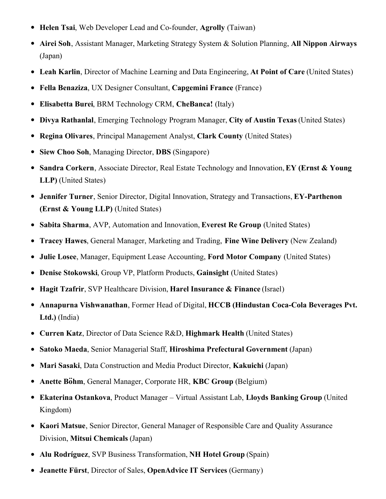- **Helen Tsai**, Web Developer Lead and Co-founder, **Agrolly** (Taiwan)
- **Airei Soh**, Assistant Manager, Marketing Strategy System & Solution Planning, **All Nippon Airways** (Japan)
- **Leah Karlin**, Director of Machine Learning and Data Engineering, **At Point of Care** (United States)
- **Fella Benaziza**, UX Designer Consultant, **Capgemini France** (France)
- **Elisabetta Burei**, BRM Technology CRM, **CheBanca!** (Italy)
- **Divya Rathanlal**, Emerging Technology Program Manager, **City of Austin Texas** (United States)
- **Regina Olivares**, Principal Management Analyst, **Clark County** (United States)
- **Siew Choo Soh**, Managing Director, **DBS** (Singapore)
- **Sandra Corkern**, Associate Director, Real Estate Technology and Innovation,**EY (Ernst & Young LLP)** (United States)
- **Jennifer Turner**, Senior Director, Digital Innovation, Strategy and Transactions, **EY-Parthenon (Ernst & Young LLP)** (United States)
- **Sabita Sharma**, AVP, Automation and Innovation, **Everest Re Group** (United States)
- **Tracey Hawes**, General Manager, Marketing and Trading, **Fine Wine Delivery** (New Zealand)
- **Julie Losee**, Manager, Equipment Lease Accounting, **Ford Motor Company** (United States)
- **Denise Stokowski**, Group VP, Platform Products, **Gainsight** (United States)
- **Hagit Tzafrir**, SVP Healthcare Division, **Harel Insurance & Finance** (Israel)
- **Annapurna Vishwanathan**, Former Head of Digital, **HCCB (Hindustan Coca-Cola Beverages Pvt. Ltd.)** (India)
- **Curren Katz**, Director of Data Science R&D, **Highmark Health** (United States)
- **Satoko Maeda**, Senior Managerial Staff, **Hiroshima Prefectural Government** (Japan)
- **Mari Sasaki**, Data Construction and Media Product Director, **Kakuichi** (Japan)
- **Anette Böhm**, General Manager, Corporate HR, **KBC Group** (Belgium)
- **Ekaterina Ostankova**, Product Manager Virtual Assistant Lab, **Lloyds Banking Group** (United Kingdom)
- **Kaori Matsue**, Senior Director, General Manager of Responsible Care and Quality Assurance Division, **Mitsui Chemicals** (Japan)
- **Alu Rodríguez**, SVP Business Transformation, **NH Hotel Group** (Spain)
- **Jeanette Fürst**, Director of Sales, **OpenAdvice IT Services** (Germany)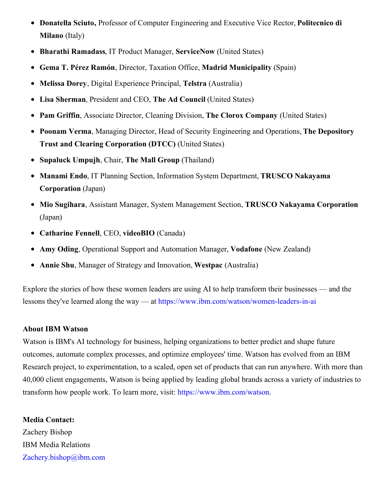- **Donatella Sciuto,** Professor of Computer Engineering and Executive Vice Rector, **Politecnico di Milano** (Italy)
- **Bharathi Ramadass**, IT Product Manager, **ServiceNow** (United States)
- **Gema T. Pérez Ramón**, Director, Taxation Office, **Madrid Municipality** (Spain)
- **Melissa Dorey**, Digital Experience Principal, **Telstra** (Australia)
- **Lisa Sherman**, President and CEO, **The Ad Council** (United States)
- **Pam Griffin**, Associate Director, Cleaning Division, **The Clorox Company** (United States)
- **Poonam Verma**, Managing Director, Head of Security Engineering and Operations, **The Depository Trust and Clearing Corporation (DTCC)** (United States)
- **Supaluck Umpujh**, Chair, **The Mall Group** (Thailand)
- **Manami Endo**, IT Planning Section, Information System Department, **TRUSCO Nakayama Corporation** (Japan)
- **Mio Sugihara**, Assistant Manager, System Management Section, **TRUSCO Nakayama Corporation** (Japan)
- **Catharine Fennell**, CEO, **videoBIO** (Canada)
- **Amy Oding**, Operational Support and Automation Manager, **Vodafone** (New Zealand)
- **Annie Shu**, Manager of Strategy and Innovation, **Westpac** (Australia)

Explore the stories of how these women leaders are using AI to help transform their businesses — and the lessons they've learned along the way — at [https://www.ibm.com/watson/women-leaders-in-ai](https://c212.net/c/link/?t=0&l=en&o=3101129-1&h=1537375783&u=https%3A%2F%2Fwww.ibm.com%2Fwatson%2Fwomen-leaders-in-ai&a=https%3A%2F%2Fwww.ibm.com%2Fwatson%2Fwomen-leaders-in-ai)

#### **About IBM Watson**

Watson is IBM's AI technology for business, helping organizations to better predict and shape future outcomes, automate complex processes, and optimize employees' time. Watson has evolved from an IBM Research project, to experimentation, to a scaled, open set of products that can run anywhere. With more than 40,000 client engagements, Watson is being applied by leading global brands across a variety of industries to transform how people work. To learn more, visit: [https://www.ibm.com/watson](https://c212.net/c/link/?t=0&l=en&o=3101129-1&h=1387762329&u=https%3A%2F%2Fc212.net%2Fc%2Flink%2F%3Ft%3D0%26l%3Den%26o%3D3007168-1%26h%3D3486222227%26u%3Dhttps%253A%252F%252Fwww.ibm.com%252Fwatson%26a%3Dhttps%253A%252F%252Fwww.ibm.com%252Fwatson&a=https%3A%2F%2Fwww.ibm.com%2Fwatson).

**Media Contact:** Zachery Bishop IBM Media Relations [Zachery.bishop@ibm.com](mailto:Zachery.bishop@ibm.com)